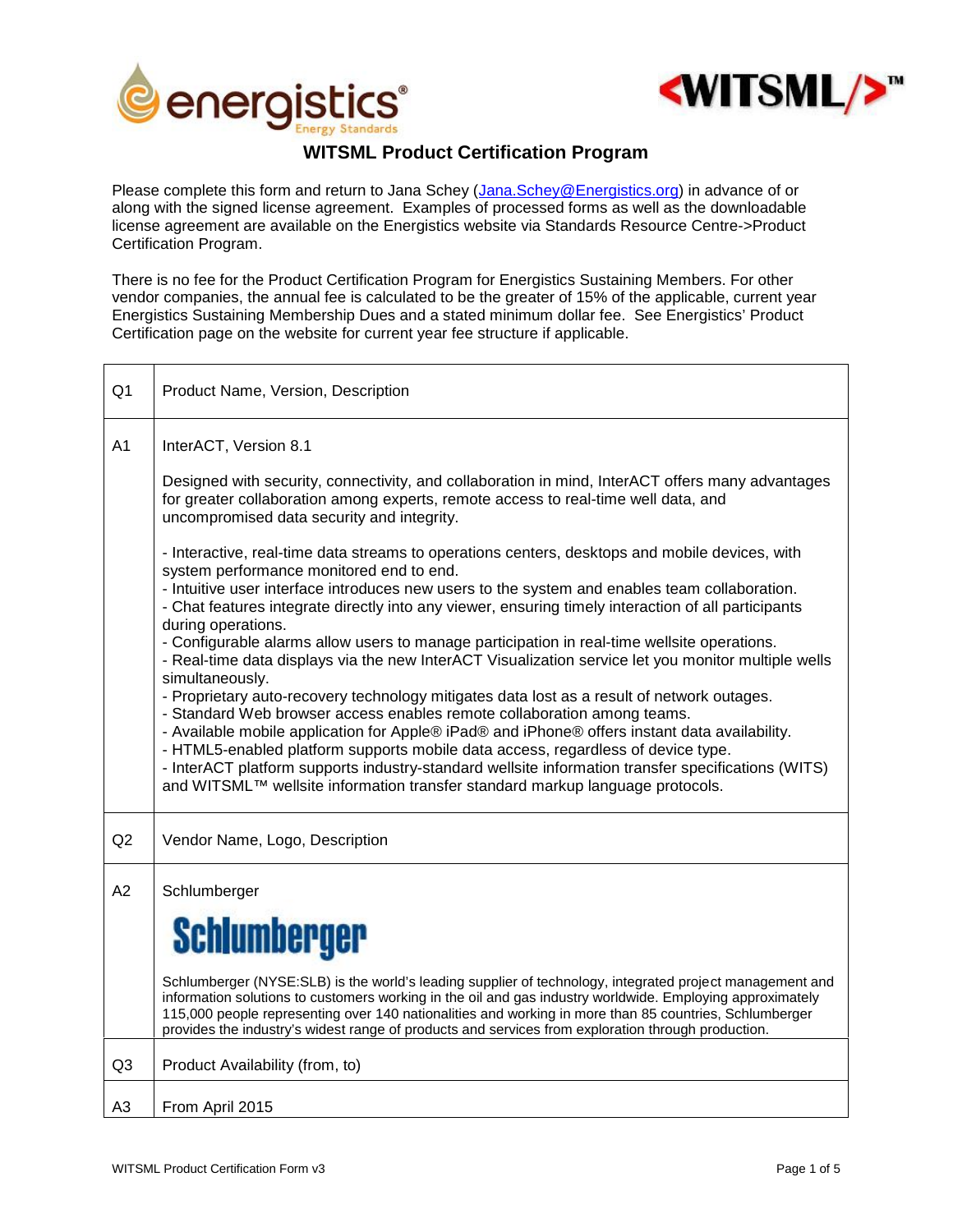



## **WITSML Product Certification Program**

Please complete this form and return to Jana Schey (Jana.Schey@Energistics.org) in advance of or along with the signed license agreement. Examples of processed forms as well as the downloadable license agreement are available on the Energistics website via Standards Resource Centre->Product Certification Program.

There is no fee for the Product Certification Program for Energistics Sustaining Members. For other vendor companies, the annual fee is calculated to be the greater of 15% of the applicable, current year Energistics Sustaining Membership Dues and a stated minimum dollar fee. See Energistics' Product Certification page on the website for current year fee structure if applicable.

| Q1             | Product Name, Version, Description                                                                                                                                                                                                                                                                                                                                                                                                                                                                                                                                                                                                                                                                                                                                                                                                                                                                                                                                                                                                                                                                                                                     |
|----------------|--------------------------------------------------------------------------------------------------------------------------------------------------------------------------------------------------------------------------------------------------------------------------------------------------------------------------------------------------------------------------------------------------------------------------------------------------------------------------------------------------------------------------------------------------------------------------------------------------------------------------------------------------------------------------------------------------------------------------------------------------------------------------------------------------------------------------------------------------------------------------------------------------------------------------------------------------------------------------------------------------------------------------------------------------------------------------------------------------------------------------------------------------------|
| A <sub>1</sub> | InterACT, Version 8.1                                                                                                                                                                                                                                                                                                                                                                                                                                                                                                                                                                                                                                                                                                                                                                                                                                                                                                                                                                                                                                                                                                                                  |
|                | Designed with security, connectivity, and collaboration in mind, InterACT offers many advantages<br>for greater collaboration among experts, remote access to real-time well data, and<br>uncompromised data security and integrity.                                                                                                                                                                                                                                                                                                                                                                                                                                                                                                                                                                                                                                                                                                                                                                                                                                                                                                                   |
|                | - Interactive, real-time data streams to operations centers, desktops and mobile devices, with<br>system performance monitored end to end.<br>- Intuitive user interface introduces new users to the system and enables team collaboration.<br>- Chat features integrate directly into any viewer, ensuring timely interaction of all participants<br>during operations.<br>- Configurable alarms allow users to manage participation in real-time wellsite operations.<br>- Real-time data displays via the new InterACT Visualization service let you monitor multiple wells<br>simultaneously.<br>- Proprietary auto-recovery technology mitigates data lost as a result of network outages.<br>- Standard Web browser access enables remote collaboration among teams.<br>- Available mobile application for Apple® iPad® and iPhone® offers instant data availability.<br>- HTML5-enabled platform supports mobile data access, regardless of device type.<br>- InterACT platform supports industry-standard wellsite information transfer specifications (WITS)<br>and WITSML™ wellsite information transfer standard markup language protocols. |
| Q2             | Vendor Name, Logo, Description                                                                                                                                                                                                                                                                                                                                                                                                                                                                                                                                                                                                                                                                                                                                                                                                                                                                                                                                                                                                                                                                                                                         |
| A2             | Schlumberger<br><b>Schlumberger</b><br>Schlumberger (NYSE:SLB) is the world's leading supplier of technology, integrated project management and<br>information solutions to customers working in the oil and gas industry worldwide. Employing approximately<br>115,000 people representing over 140 nationalities and working in more than 85 countries, Schlumberger<br>provides the industry's widest range of products and services from exploration through production.                                                                                                                                                                                                                                                                                                                                                                                                                                                                                                                                                                                                                                                                           |
| Q <sub>3</sub> | Product Availability (from, to)                                                                                                                                                                                                                                                                                                                                                                                                                                                                                                                                                                                                                                                                                                                                                                                                                                                                                                                                                                                                                                                                                                                        |
| A <sub>3</sub> | From April 2015                                                                                                                                                                                                                                                                                                                                                                                                                                                                                                                                                                                                                                                                                                                                                                                                                                                                                                                                                                                                                                                                                                                                        |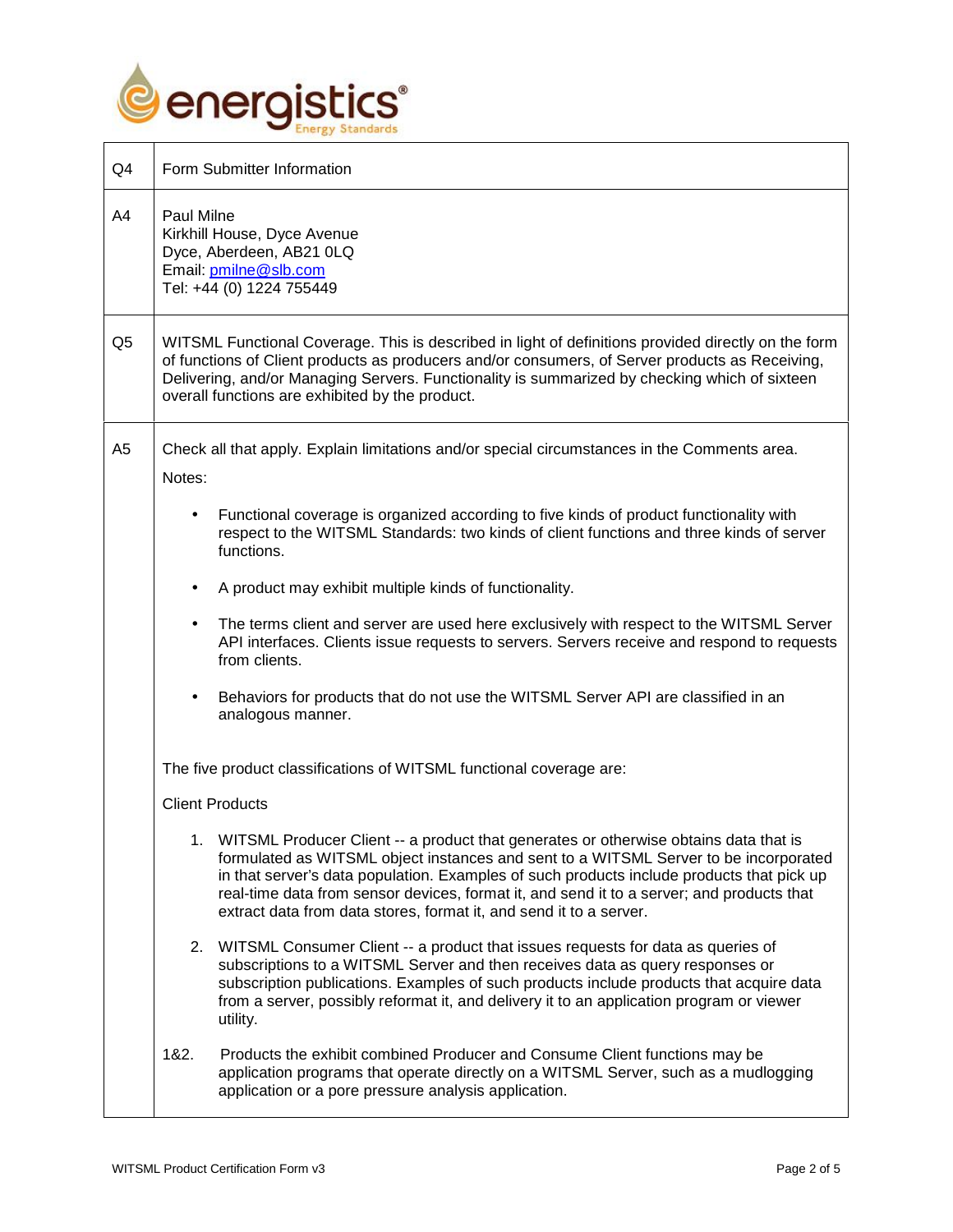

┑

| Q4             | Form Submitter Information                                                                                                                                                                                                                                                                                                                                                                                                                      |
|----------------|-------------------------------------------------------------------------------------------------------------------------------------------------------------------------------------------------------------------------------------------------------------------------------------------------------------------------------------------------------------------------------------------------------------------------------------------------|
| A4             | Paul Milne<br>Kirkhill House, Dyce Avenue<br>Dyce, Aberdeen, AB21 0LQ<br>Email: pmilne@slb.com<br>Tel: +44 (0) 1224 755449                                                                                                                                                                                                                                                                                                                      |
| Q <sub>5</sub> | WITSML Functional Coverage. This is described in light of definitions provided directly on the form<br>of functions of Client products as producers and/or consumers, of Server products as Receiving,<br>Delivering, and/or Managing Servers. Functionality is summarized by checking which of sixteen<br>overall functions are exhibited by the product.                                                                                      |
| A <sub>5</sub> | Check all that apply. Explain limitations and/or special circumstances in the Comments area.<br>Notes:                                                                                                                                                                                                                                                                                                                                          |
|                | Functional coverage is organized according to five kinds of product functionality with<br>respect to the WITSML Standards: two kinds of client functions and three kinds of server<br>functions.                                                                                                                                                                                                                                                |
|                | A product may exhibit multiple kinds of functionality.                                                                                                                                                                                                                                                                                                                                                                                          |
|                | The terms client and server are used here exclusively with respect to the WITSML Server<br>API interfaces. Clients issue requests to servers. Servers receive and respond to requests<br>from clients.                                                                                                                                                                                                                                          |
|                | Behaviors for products that do not use the WITSML Server API are classified in an<br>analogous manner.                                                                                                                                                                                                                                                                                                                                          |
|                | The five product classifications of WITSML functional coverage are:                                                                                                                                                                                                                                                                                                                                                                             |
|                | <b>Client Products</b>                                                                                                                                                                                                                                                                                                                                                                                                                          |
|                | 1. WITSML Producer Client -- a product that generates or otherwise obtains data that is<br>formulated as WITSML object instances and sent to a WITSML Server to be incorporated<br>in that server's data population. Examples of such products include products that pick up<br>real-time data from sensor devices, format it, and send it to a server; and products that<br>extract data from data stores, format it, and send it to a server. |
|                | 2. WITSML Consumer Client -- a product that issues requests for data as queries of<br>subscriptions to a WITSML Server and then receives data as query responses or<br>subscription publications. Examples of such products include products that acquire data<br>from a server, possibly reformat it, and delivery it to an application program or viewer<br>utility.                                                                          |
|                | 1&2.<br>Products the exhibit combined Producer and Consume Client functions may be<br>application programs that operate directly on a WITSML Server, such as a mudlogging<br>application or a pore pressure analysis application.                                                                                                                                                                                                               |

 $\overline{\phantom{a}}$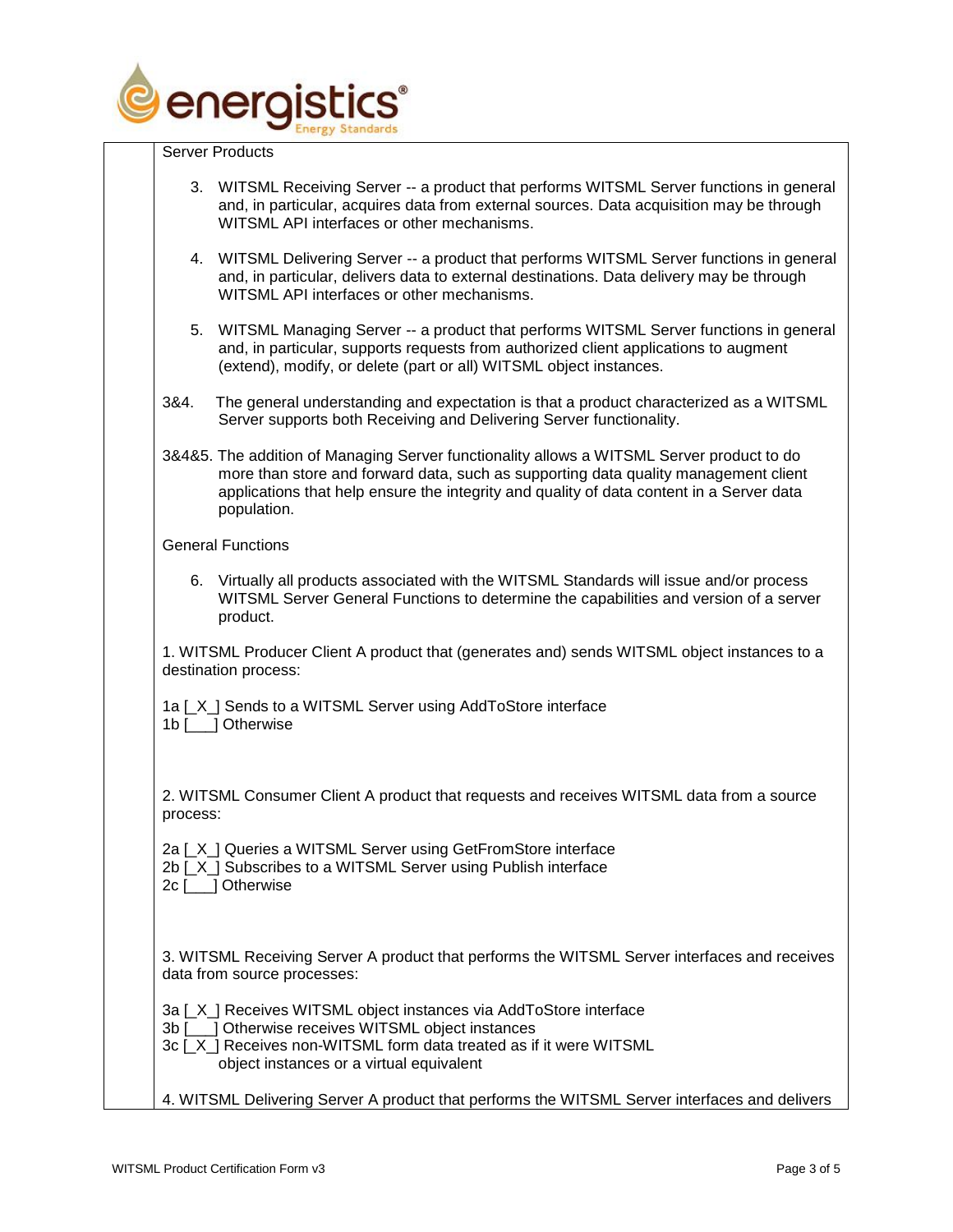

Server Products

| 3. WITSML Receiving Server -- a product that performs WITSML Server functions in general<br>and, in particular, acquires data from external sources. Data acquisition may be through<br>WITSML API interfaces or other mechanisms.  |  |
|-------------------------------------------------------------------------------------------------------------------------------------------------------------------------------------------------------------------------------------|--|
| 4. WITSML Delivering Server -- a product that performs WITSML Server functions in general<br>and, in particular, delivers data to external destinations. Data delivery may be through<br>WITSML API interfaces or other mechanisms. |  |
| 5. WITSML Managing Server -- a product that performs WITSML Server functions in general                                                                                                                                             |  |

| 5. WITSML Managing Server -- a product that performs WITSML Server functions in general |  |
|-----------------------------------------------------------------------------------------|--|
| and, in particular, supports requests from authorized client applications to augment    |  |
| (extend), modify, or delete (part or all) WITSML object instances.                      |  |

- 3&4. The general understanding and expectation is that a product characterized as a WITSML Server supports both Receiving and Delivering Server functionality.
- 3&4&5. The addition of Managing Server functionality allows a WITSML Server product to do more than store and forward data, such as supporting data quality management client applications that help ensure the integrity and quality of data content in a Server data population.

General Functions

6. Virtually all products associated with the WITSML Standards will issue and/or process WITSML Server General Functions to determine the capabilities and version of a server product.

1. WITSML Producer Client A product that (generates and) sends WITSML object instances to a destination process:

| 1a [X] Sends to a WITSML Server using AddToStore interface |  |
|------------------------------------------------------------|--|
| 1b [___] Otherwise                                         |  |

2. WITSML Consumer Client A product that requests and receives WITSML data from a source process:

2a [X ] Queries a WITSML Server using GetFromStore interface

2b [X] Subscribes to a WITSML Server using Publish interface

| 2c [ | __] Otherwise |
|------|---------------|
|------|---------------|

| 3. WITSML Receiving Server A product that performs the WITSML Server interfaces and receives |  |
|----------------------------------------------------------------------------------------------|--|
| data from source processes:                                                                  |  |

- 3a [\_X\_] Receives WITSML object instances via AddToStore interface
- 3b [\_\_\_] Otherwise receives WITSML object instances

| 3c [_X_] Receives non-WITSML form data treated as if it were WITSML |  |
|---------------------------------------------------------------------|--|
| object instances or a virtual equivalent                            |  |

4. WITSML Delivering Server A product that performs the WITSML Server interfaces and delivers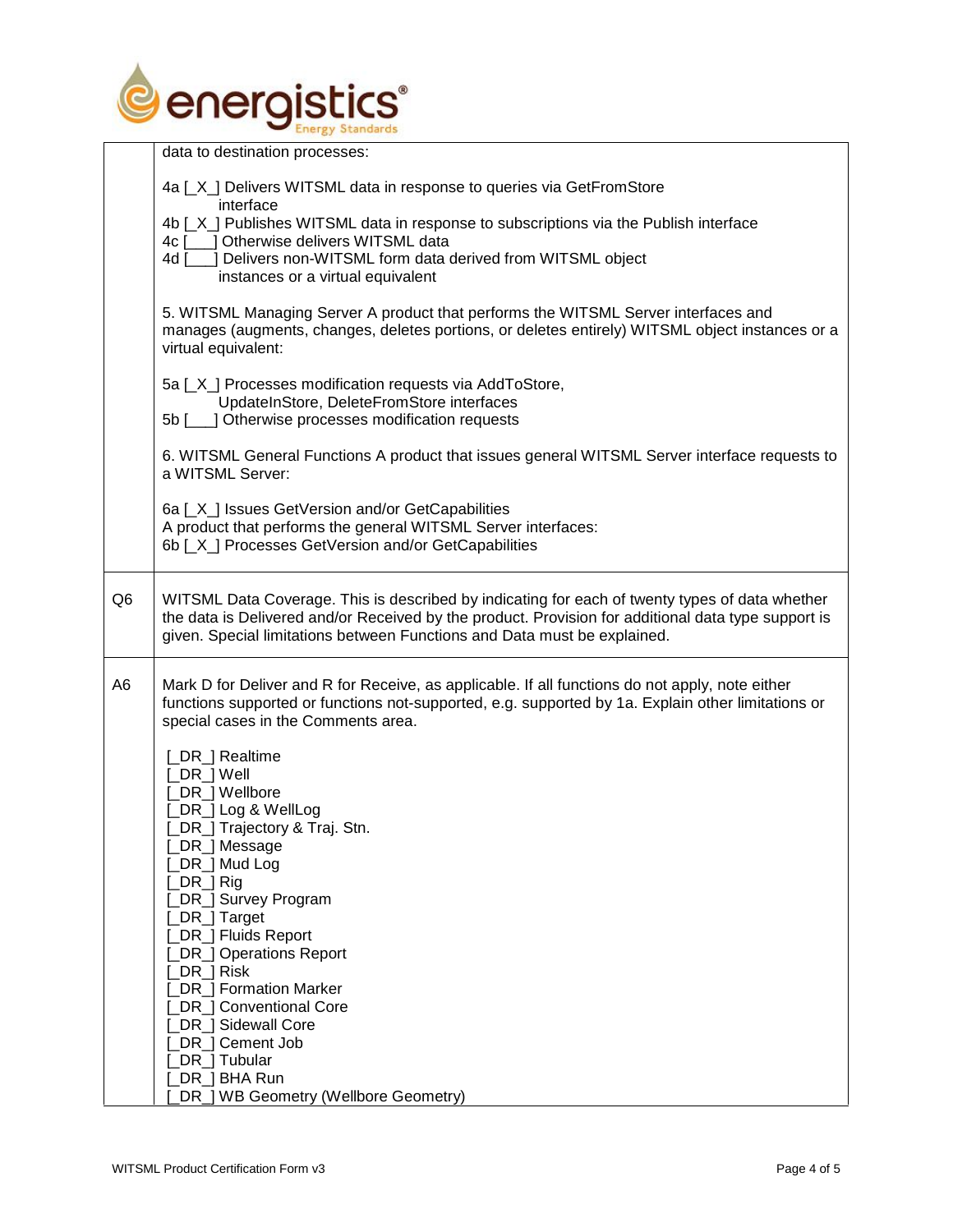

|                | data to destination processes:                                                                                                                                                        |
|----------------|---------------------------------------------------------------------------------------------------------------------------------------------------------------------------------------|
|                |                                                                                                                                                                                       |
|                | 4a [X] Delivers WITSML data in response to queries via GetFromStore<br>interface                                                                                                      |
|                | 4b [X] Publishes WITSML data in response to subscriptions via the Publish interface                                                                                                   |
|                | 4c [___] Otherwise delivers WITSML data                                                                                                                                               |
|                | J Delivers non-WITSML form data derived from WITSML object<br>4d <u>[</u>                                                                                                             |
|                | instances or a virtual equivalent                                                                                                                                                     |
|                |                                                                                                                                                                                       |
|                | 5. WITSML Managing Server A product that performs the WITSML Server interfaces and<br>manages (augments, changes, deletes portions, or deletes entirely) WITSML object instances or a |
|                | virtual equivalent:                                                                                                                                                                   |
|                |                                                                                                                                                                                       |
|                | 5a [_X_] Processes modification requests via AddToStore,                                                                                                                              |
|                | UpdateInStore, DeleteFromStore interfaces                                                                                                                                             |
|                | 5b [___] Otherwise processes modification requests                                                                                                                                    |
|                | 6. WITSML General Functions A product that issues general WITSML Server interface requests to                                                                                         |
|                | a WITSML Server:                                                                                                                                                                      |
|                |                                                                                                                                                                                       |
|                | 6a [X] Issues GetVersion and/or GetCapabilities                                                                                                                                       |
|                | A product that performs the general WITSML Server interfaces:                                                                                                                         |
|                | 6b [X] Processes GetVersion and/or GetCapabilities                                                                                                                                    |
|                |                                                                                                                                                                                       |
| Q <sub>6</sub> | WITSML Data Coverage. This is described by indicating for each of twenty types of data whether                                                                                        |
|                | the data is Delivered and/or Received by the product. Provision for additional data type support is                                                                                   |
|                | given. Special limitations between Functions and Data must be explained.                                                                                                              |
|                |                                                                                                                                                                                       |
| A <sub>6</sub> | Mark D for Deliver and R for Receive, as applicable. If all functions do not apply, note either                                                                                       |
|                | functions supported or functions not-supported, e.g. supported by 1a. Explain other limitations or                                                                                    |
|                | special cases in the Comments area.                                                                                                                                                   |
|                |                                                                                                                                                                                       |
|                | [_DR_] Realtime<br>[_DR_] Well                                                                                                                                                        |
|                | _DR_] Wellbore                                                                                                                                                                        |
|                | _DR_] Log & WellLog                                                                                                                                                                   |
|                | [_DR_] Trajectory & Traj. Stn.                                                                                                                                                        |
|                | DR_] Message                                                                                                                                                                          |
|                | _DR_] Mud Log                                                                                                                                                                         |
|                | $DR$ ] Rig                                                                                                                                                                            |
|                | DR_] Survey Program                                                                                                                                                                   |
|                | _DR_] Target                                                                                                                                                                          |
|                | DR_] Fluids Report                                                                                                                                                                    |
|                | <b>DR</b> ] Operations Report<br>_DR_] Risk                                                                                                                                           |
|                | <b>DR</b> ] Formation Marker                                                                                                                                                          |
|                | <b>DR</b> ] Conventional Core                                                                                                                                                         |
|                | DR ] Sidewall Core                                                                                                                                                                    |
|                | DR <sub>_</sub> ] Cement Job                                                                                                                                                          |
|                | _DR_] Tubular                                                                                                                                                                         |
|                | _DR_] BHA Run                                                                                                                                                                         |
|                | DR_] WB Geometry (Wellbore Geometry)                                                                                                                                                  |